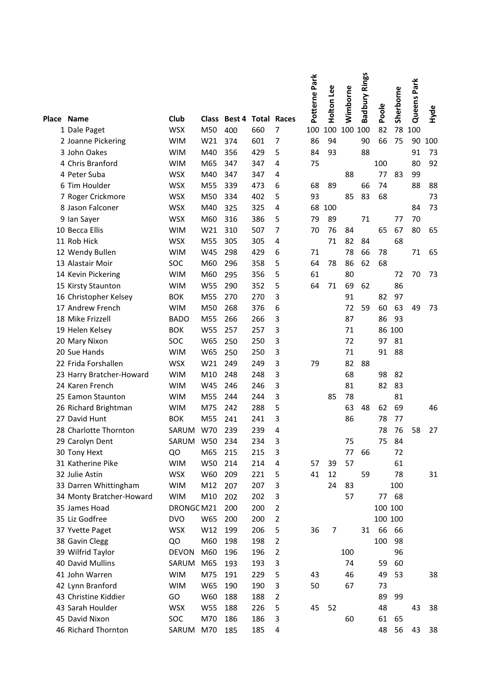|                          |              |              |                           |     |                | Potterne Park | Holton Lee | Wimborne | <b>Badbury Rings</b> |         | Sherborne | Queens Park |      |
|--------------------------|--------------|--------------|---------------------------|-----|----------------|---------------|------------|----------|----------------------|---------|-----------|-------------|------|
|                          |              |              |                           |     |                |               |            |          |                      | Poole   |           |             | Hyde |
| Place Name               | Club         | <b>Class</b> | <b>Best 4 Total Races</b> |     |                |               |            |          |                      |         |           |             |      |
| 1 Dale Paget             | <b>WSX</b>   | M50          | 400                       | 660 | 7              | 100           | 100        | 100      | 100                  | 82      | 78        | 100         |      |
| 2 Joanne Pickering       | <b>WIM</b>   | W21          | 374                       | 601 | 7              | 86            | 94         |          | 90                   | 66      | 75        | 90          | 100  |
| 3 John Oakes             | <b>WIM</b>   | M40          | 356                       | 429 | 5              | 84            | 93         |          | 88                   |         |           | 91          | 73   |
| 4 Chris Branford         | <b>WIM</b>   | M65          | 347                       | 347 | 4              | 75            |            |          |                      | 100     |           | 80          | 92   |
| 4 Peter Suba             | <b>WSX</b>   | M40          | 347                       | 347 | 4              |               |            | 88       |                      | 77      | 83        | 99          |      |
| 6 Tim Houlder            | <b>WSX</b>   | M55          | 339                       | 473 | 6              | 68            | 89         |          | 66                   | 74      |           | 88          | 88   |
| 7 Roger Crickmore        | <b>WSX</b>   | M50          | 334                       | 402 | 5              | 93            |            | 85       | 83                   | 68      |           |             | 73   |
| 8 Jason Falconer         | <b>WSX</b>   | M40          | 325                       | 325 | 4              | 68            | 100        |          |                      |         |           | 84          | 73   |
| 9 Ian Sayer              | <b>WSX</b>   | M60          | 316                       | 386 | 5              | 79            | 89         |          | 71                   |         | 77        | 70          |      |
| 10 Becca Ellis           | <b>WIM</b>   | W21          | 310                       | 507 | 7              | 70            | 76         | 84       |                      | 65      | 67        | 80          | 65   |
| 11 Rob Hick              | <b>WSX</b>   | M55          | 305                       | 305 | 4              |               | 71         | 82       | 84                   |         | 68        |             |      |
| 12 Wendy Bullen          | <b>WIM</b>   | W45          | 298                       | 429 | 6              | 71            |            | 78       | 66                   | 78      |           | 71          | 65   |
| 13 Alastair Moir         | SOC          | M60          | 296                       | 358 | 5              | 64            | 78         | 86       | 62                   | 68      |           |             |      |
| 14 Kevin Pickering       | <b>WIM</b>   | M60          | 295                       | 356 | 5              | 61            |            | 80       |                      |         | 72        | 70          | 73   |
| 15 Kirsty Staunton       | <b>WIM</b>   | W55          | 290                       | 352 | 5              | 64            | 71         | 69       | 62                   |         | 86        |             |      |
| 16 Christopher Kelsey    | <b>BOK</b>   | M55          | 270                       | 270 | 3              |               |            | 91       |                      | 82      | 97        |             |      |
| 17 Andrew French         | <b>WIM</b>   | M50          | 268                       | 376 | 6              |               |            | 72       | 59                   | 60      | 63        | 49          | 73   |
| 18 Mike Frizzell         | <b>BADO</b>  | M55          | 266                       | 266 | 3              |               |            | 87       |                      | 86      | 93        |             |      |
| 19 Helen Kelsey          | <b>BOK</b>   | W55          | 257                       | 257 | 3              |               |            | 71       |                      |         | 86 100    |             |      |
| 20 Mary Nixon            | SOC          | W65          | 250                       | 250 | 3              |               |            | 72       |                      | 97      | 81        |             |      |
| 20 Sue Hands             | <b>WIM</b>   | W65          | 250                       | 250 | 3              |               |            | 71       |                      | 91      | 88        |             |      |
| 22 Frida Forshallen      | <b>WSX</b>   | W21          | 249                       | 249 | 3              | 79            |            | 82       | 88                   |         |           |             |      |
| 23 Harry Bratcher-Howard | <b>WIM</b>   | M10          | 248                       | 248 | 3              |               |            | 68       |                      | 98      | 82        |             |      |
| 24 Karen French          | <b>WIM</b>   | W45          | 246                       | 246 | 3              |               |            | 81       |                      | 82      | 83        |             |      |
| 25 Eamon Staunton        | <b>WIM</b>   | M55          | 244                       | 244 | 3              |               | 85         | 78       |                      |         | 81        |             |      |
| 26 Richard Brightman     | <b>WIM</b>   | M75          | 242                       | 288 | 5              |               |            | 63       | 48                   | 62      | 69        |             | 46   |
| 27 David Hunt            | <b>BOK</b>   | M55          | 241                       | 241 | 3              |               |            | 86       |                      | 78      | 77        |             |      |
| 28 Charlotte Thornton    | SARUM        | W70          | 239                       | 239 | 4              |               |            |          |                      | 78      | 76        | 58          | 27   |
| 29 Carolyn Dent          | SARUM        | W50          | 234                       | 234 | 3              |               |            | 75       |                      | 75      | 84        |             |      |
| 30 Tony Hext             | QO           | M65          | 215                       | 215 | 3              |               |            | 77       | 66                   |         | 72        |             |      |
| 31 Katherine Pike        | <b>WIM</b>   | W50          | 214                       | 214 | 4              | 57            | 39         | 57       |                      |         | 61        |             |      |
| 32 Julie Astin           | <b>WSX</b>   | W60          | 209                       | 221 | 5              | 41            | 12         |          | 59                   |         | 78        |             | 31   |
| 33 Darren Whittingham    | <b>WIM</b>   | M12          | 207                       | 207 | 3              |               | 24         | 83       |                      |         | 100       |             |      |
| 34 Monty Bratcher-Howard | <b>WIM</b>   | M10          | 202                       | 202 | 3              |               |            | 57       |                      |         | 77 68     |             |      |
| 35 James Hoad            | DRONGCM21    |              | 200                       | 200 | $\overline{2}$ |               |            |          |                      | 100 100 |           |             |      |
| 35 Liz Godfree           | <b>DVO</b>   | W65          | 200                       | 200 | $\overline{2}$ |               |            |          |                      | 100 100 |           |             |      |
| 37 Yvette Paget          | <b>WSX</b>   | W12          | 199                       | 206 | 5              | 36            | 7          |          | 31                   | 66      | 66        |             |      |
| 38 Gavin Clegg           | QO           | M60          | 198                       | 198 | $\overline{2}$ |               |            |          |                      | 100     | 98        |             |      |
| 39 Wilfrid Taylor        | <b>DEVON</b> | M60          | 196                       | 196 | $\overline{2}$ |               |            | 100      |                      |         | 96        |             |      |
| 40 David Mullins         | SARUM        | M65          | 193                       | 193 | 3              |               |            | 74       |                      | 59      | 60        |             |      |
| 41 John Warren           | <b>WIM</b>   | M75          | 191                       | 229 | 5              | 43            |            | 46       |                      | 49      | 53        |             | 38   |
| 42 Lynn Branford         | <b>WIM</b>   | W65          | 190                       | 190 | 3              | 50            |            | 67       |                      | 73      |           |             |      |
| 43 Christine Kiddier     | GO           | W60          | 188                       | 188 | $\overline{2}$ |               |            |          |                      | 89      | 99        |             |      |
| 43 Sarah Houlder         | <b>WSX</b>   | W55          | 188                       | 226 | 5              | 45            | 52         |          |                      | 48      |           | 43          | 38   |
| 45 David Nixon           | SOC          | M70          | 186                       | 186 | 3              |               |            | 60       |                      | 61      | 65        |             |      |
| 46 Richard Thornton      |              | M70          | 185                       |     | 4              |               |            |          |                      | 48      | 56        | 43          |      |
|                          | SARUM        |              |                           | 185 |                |               |            |          |                      |         |           |             | 38   |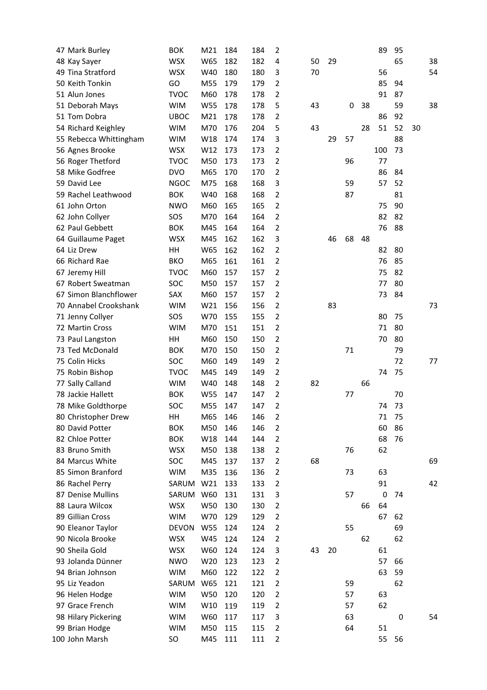| 47 Mark Burley         | <b>BOK</b>        | M21        | 184 | 184        | $\overline{2}$ |    |    |    |    | 89          | 95 |    |    |
|------------------------|-------------------|------------|-----|------------|----------------|----|----|----|----|-------------|----|----|----|
| 48 Kay Sayer           | <b>WSX</b>        | W65        | 182 | 182        | 4              | 50 | 29 |    |    |             | 65 |    | 38 |
| 49 Tina Stratford      | <b>WSX</b>        | W40        | 180 | 180        | 3              | 70 |    |    |    | 56          |    |    | 54 |
| 50 Keith Tonkin        | GO                | M55        | 179 | 179        | $\overline{2}$ |    |    |    |    | 85          | 94 |    |    |
| 51 Alun Jones          | <b>TVOC</b>       | M60        | 178 | 178        | $\overline{2}$ |    |    |    |    | 91          | 87 |    |    |
| 51 Deborah Mays        | <b>WIM</b>        | <b>W55</b> | 178 | 178        | 5              | 43 |    | 0  | 38 |             | 59 |    | 38 |
| 51 Tom Dobra           | <b>UBOC</b>       | M21        | 178 | 178        | $\overline{2}$ |    |    |    |    | 86          | 92 |    |    |
| 54 Richard Keighley    | <b>WIM</b>        | M70        | 176 | 204        | 5              | 43 |    |    | 28 | 51          | 52 | 30 |    |
| 55 Rebecca Whittingham | <b>WIM</b>        | W18        | 174 | 174        | 3              |    | 29 | 57 |    |             | 88 |    |    |
| 56 Agnes Brooke        | <b>WSX</b>        | W12        | 173 | 173        | $\overline{2}$ |    |    |    |    | 100         | 73 |    |    |
| 56 Roger Thetford      | <b>TVOC</b>       | M50        | 173 | 173        | $\overline{2}$ |    |    | 96 |    | 77          |    |    |    |
| 58 Mike Godfree        | <b>DVO</b>        | M65        | 170 | 170        | $\overline{2}$ |    |    |    |    | 86          | 84 |    |    |
| 59 David Lee           | <b>NGOC</b>       | M75        | 168 | 168        | 3              |    |    | 59 |    | 57          | 52 |    |    |
| 59 Rachel Leathwood    | <b>BOK</b>        | W40        | 168 | 168        | $\overline{2}$ |    |    | 87 |    |             | 81 |    |    |
| 61 John Orton          | <b>NWO</b>        | M60        | 165 | 165        | $\overline{2}$ |    |    |    |    | 75          | 90 |    |    |
| 62 John Collyer        | SOS               | M70        | 164 | 164        | $\overline{2}$ |    |    |    |    | 82          | 82 |    |    |
| 62 Paul Gebbett        | <b>BOK</b>        | M45        | 164 | 164        | $\overline{2}$ |    |    |    |    | 76          | 88 |    |    |
| 64 Guillaume Paget     | <b>WSX</b>        | M45        | 162 | 162        | 3              |    | 46 | 68 | 48 |             |    |    |    |
| 64 Liz Drew            | HH                | W65        | 162 | 162        | $\overline{2}$ |    |    |    |    | 82          | 80 |    |    |
| 66 Richard Rae         | <b>BKO</b>        | M65        | 161 | 161        | $\overline{2}$ |    |    |    |    | 76          | 85 |    |    |
| 67 Jeremy Hill         | <b>TVOC</b>       | M60        | 157 | 157        | $\overline{2}$ |    |    |    |    | 75          | 82 |    |    |
| 67 Robert Sweatman     | SOC               | M50        | 157 | 157        | $\overline{2}$ |    |    |    |    | 77          | 80 |    |    |
| 67 Simon Blanchflower  | SAX               | M60        | 157 | 157        | $\overline{2}$ |    |    |    |    | 73          | 84 |    |    |
| 70 Annabel Crookshank  | <b>WIM</b>        | W21        | 156 | 156        | $\overline{2}$ |    | 83 |    |    |             |    |    | 73 |
|                        |                   |            |     |            | $\overline{2}$ |    |    |    |    |             | 75 |    |    |
| 71 Jenny Collyer       | SOS<br><b>WIM</b> | W70<br>M70 | 155 | 155<br>151 | $\overline{2}$ |    |    |    |    | 80          | 80 |    |    |
| 72 Martin Cross        |                   |            | 151 |            |                |    |    |    |    | 71          |    |    |    |
| 73 Paul Langston       | HH                | M60        | 150 | 150        | $\overline{2}$ |    |    |    |    | 70          | 80 |    |    |
| 73 Ted McDonald        | <b>BOK</b>        | M70        | 150 | 150        | $\overline{2}$ |    |    | 71 |    |             | 79 |    |    |
| 75 Colin Hicks         | <b>SOC</b>        | M60        | 149 | 149        | $\overline{2}$ |    |    |    |    |             | 72 |    | 77 |
| 75 Robin Bishop        | <b>TVOC</b>       | M45        | 149 | 149        | $\overline{2}$ |    |    |    |    | 74          | 75 |    |    |
| 77 Sally Calland       | <b>WIM</b>        | W40        | 148 | 148        | $\overline{2}$ | 82 |    |    | 66 |             |    |    |    |
| 78 Jackie Hallett      | <b>BOK</b>        | W55        | 147 | 147        | 2              |    |    | 77 |    |             | 70 |    |    |
| 78 Mike Goldthorpe     | SOC               | M55        | 147 | 147        | $\overline{2}$ |    |    |    |    | 74          | 73 |    |    |
| 80 Christopher Drew    | HH                | M65        | 146 | 146        | $\overline{2}$ |    |    |    |    | 71          | 75 |    |    |
| 80 David Potter        | <b>BOK</b>        | M50        | 146 | 146        | $\overline{2}$ |    |    |    |    | 60          | 86 |    |    |
| 82 Chloe Potter        | <b>BOK</b>        | W18        | 144 | 144        | $\overline{2}$ |    |    |    |    | 68          | 76 |    |    |
| 83 Bruno Smith         | <b>WSX</b>        | M50        | 138 | 138        | $\overline{2}$ |    |    | 76 |    | 62          |    |    |    |
| 84 Marcus White        | SOC               | M45        | 137 | 137        | $\overline{2}$ | 68 |    |    |    |             |    |    | 69 |
| 85 Simon Branford      | <b>WIM</b>        | M35        | 136 | 136        | $\overline{2}$ |    |    | 73 |    | 63          |    |    |    |
| 86 Rachel Perry        | SARUM             | W21        | 133 | 133        | $\overline{2}$ |    |    |    |    | 91          |    |    | 42 |
| 87 Denise Mullins      | SARUM             | W60        | 131 | 131        | 3              |    |    | 57 |    | $\mathbf 0$ | 74 |    |    |
| 88 Laura Wilcox        | <b>WSX</b>        | W50        | 130 | 130        | $\overline{2}$ |    |    |    | 66 | 64          |    |    |    |
| 89 Gillian Cross       | <b>WIM</b>        | W70        | 129 | 129        | $\overline{2}$ |    |    |    |    | 67          | 62 |    |    |
| 90 Eleanor Taylor      | <b>DEVON</b>      | W55        | 124 | 124        | $\overline{2}$ |    |    | 55 |    |             | 69 |    |    |
| 90 Nicola Brooke       | <b>WSX</b>        | W45        | 124 | 124        | $\overline{2}$ |    |    |    | 62 |             | 62 |    |    |
| 90 Sheila Gold         | <b>WSX</b>        | W60        | 124 | 124        | 3              | 43 | 20 |    |    | 61          |    |    |    |
| 93 Jolanda Dünner      | <b>NWO</b>        | W20        | 123 | 123        | $\overline{2}$ |    |    |    |    | 57          | 66 |    |    |
| 94 Brian Johnson       | <b>WIM</b>        | M60        | 122 | 122        | $\overline{2}$ |    |    |    |    | 63          | 59 |    |    |
| 95 Liz Yeadon          | SARUM             | W65        | 121 | 121        | $\overline{2}$ |    |    | 59 |    |             | 62 |    |    |
| 96 Helen Hodge         | <b>WIM</b>        | W50        | 120 | 120        | $\overline{2}$ |    |    | 57 |    | 63          |    |    |    |
| 97 Grace French        | <b>WIM</b>        | W10        | 119 | 119        | $\overline{2}$ |    |    | 57 |    | 62          |    |    |    |
| 98 Hilary Pickering    | <b>WIM</b>        | W60        | 117 | 117        | 3              |    |    | 63 |    |             | 0  |    | 54 |
| 99 Brian Hodge         | <b>WIM</b>        | M50        | 115 | 115        | $\overline{2}$ |    |    | 64 |    | 51          |    |    |    |
| 100 John Marsh         | SO                | M45        | 111 | 111        | $\overline{2}$ |    |    |    |    | 55          | 56 |    |    |
|                        |                   |            |     |            |                |    |    |    |    |             |    |    |    |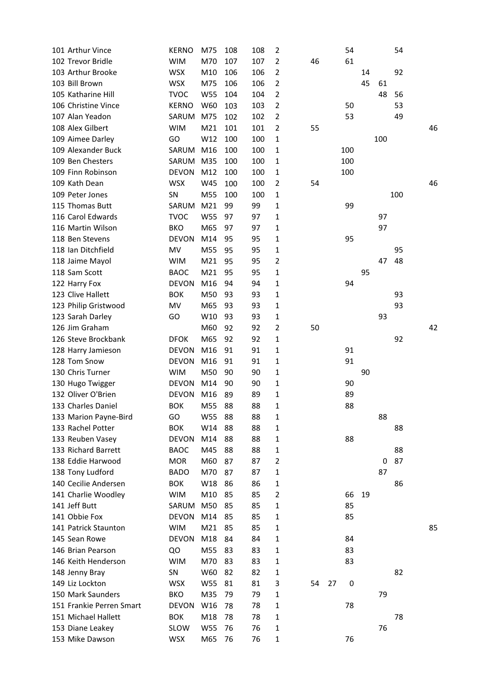| 101 Arthur Vince         | <b>KERNO</b> | M75             | 108 | 108 | $\overline{2}$ |    |    | 54  |    |     | 54  |    |
|--------------------------|--------------|-----------------|-----|-----|----------------|----|----|-----|----|-----|-----|----|
| 102 Trevor Bridle        | <b>WIM</b>   | M70             | 107 | 107 | 2              | 46 |    | 61  |    |     |     |    |
| 103 Arthur Brooke        | <b>WSX</b>   | M10             | 106 | 106 | 2              |    |    |     | 14 |     | 92  |    |
| 103 Bill Brown           | <b>WSX</b>   | M75             | 106 | 106 | $\overline{2}$ |    |    |     | 45 | 61  |     |    |
| 105 Katharine Hill       | <b>TVOC</b>  | W55             | 104 | 104 | 2              |    |    |     |    | 48  | 56  |    |
| 106 Christine Vince      | <b>KERNO</b> | W60             | 103 | 103 | 2              |    |    | 50  |    |     | 53  |    |
| 107 Alan Yeadon          | SARUM        | M75             | 102 | 102 | 2              |    |    | 53  |    |     | 49  |    |
| 108 Alex Gilbert         | <b>WIM</b>   | M21             | 101 | 101 | $\overline{2}$ | 55 |    |     |    |     |     | 46 |
| 109 Aimee Darley         | GO           | W12             | 100 | 100 | 1              |    |    |     |    | 100 |     |    |
| 109 Alexander Buck       | SARUM        | M16             | 100 | 100 | 1              |    |    | 100 |    |     |     |    |
| 109 Ben Chesters         | SARUM        | M35             | 100 | 100 | 1              |    |    | 100 |    |     |     |    |
| 109 Finn Robinson        | <b>DEVON</b> | M12             | 100 | 100 | 1              |    |    | 100 |    |     |     |    |
| 109 Kath Dean            | <b>WSX</b>   | W45             | 100 | 100 | 2              | 54 |    |     |    |     |     | 46 |
| 109 Peter Jones          | SN           | M55             | 100 | 100 | 1              |    |    |     |    |     | 100 |    |
| 115 Thomas Butt          | SARUM        | M <sub>21</sub> | 99  | 99  | 1              |    |    | 99  |    |     |     |    |
| 116 Carol Edwards        | <b>TVOC</b>  | <b>W55</b>      | 97  | 97  | 1              |    |    |     |    | 97  |     |    |
| 116 Martin Wilson        | <b>BKO</b>   | M65             | 97  | 97  | 1              |    |    |     |    | 97  |     |    |
| 118 Ben Stevens          | <b>DEVON</b> | M14             | 95  | 95  | 1              |    |    | 95  |    |     |     |    |
| 118 Ian Ditchfield       | MV           | M55             | 95  | 95  | 1              |    |    |     |    |     | 95  |    |
|                          |              |                 |     |     |                |    |    |     |    |     |     |    |
| 118 Jaime Mayol          | <b>WIM</b>   | M21             | 95  | 95  | 2              |    |    |     |    | 47  | 48  |    |
| 118 Sam Scott            | <b>BAOC</b>  | M21             | 95  | 95  | 1              |    |    |     | 95 |     |     |    |
| 122 Harry Fox            | <b>DEVON</b> | M16             | 94  | 94  | 1              |    |    | 94  |    |     |     |    |
| 123 Clive Hallett        | <b>BOK</b>   | M50             | 93  | 93  | 1              |    |    |     |    |     | 93  |    |
| 123 Philip Gristwood     | MV           | M65             | 93  | 93  | 1              |    |    |     |    |     | 93  |    |
| 123 Sarah Darley         | GO           | W10             | 93  | 93  | 1              |    |    |     |    | 93  |     |    |
| 126 Jim Graham           |              | M60             | 92  | 92  | 2              | 50 |    |     |    |     |     | 42 |
| 126 Steve Brockbank      | <b>DFOK</b>  | M65             | 92  | 92  | 1              |    |    |     |    |     | 92  |    |
| 128 Harry Jamieson       | <b>DEVON</b> | M16             | 91  | 91  | 1              |    |    | 91  |    |     |     |    |
| 128 Tom Snow             | <b>DEVON</b> | M16             | 91  | 91  | 1              |    |    | 91  |    |     |     |    |
| 130 Chris Turner         | <b>WIM</b>   | M50             | 90  | 90  | 1              |    |    |     | 90 |     |     |    |
| 130 Hugo Twigger         | <b>DEVON</b> | M14             | 90  | 90  | 1              |    |    | 90  |    |     |     |    |
| 132 Oliver O'Brien       | <b>DEVON</b> | M16             | 89  | 89  | 1              |    |    | 89  |    |     |     |    |
| 133 Charles Daniel       | <b>BOK</b>   | M55             | 88  | 88  | 1              |    |    | 88  |    |     |     |    |
| 133 Marion Payne-Bird    | GO           | W55             | 88  | 88  | 1              |    |    |     |    | 88  |     |    |
| 133 Rachel Potter        | <b>BOK</b>   | W14             | 88  | 88  | 1              |    |    |     |    |     | 88  |    |
| 133 Reuben Vasey         | <b>DEVON</b> | M14             | 88  | 88  | 1              |    |    | 88  |    |     |     |    |
| 133 Richard Barrett      | <b>BAOC</b>  | M45             | 88  | 88  | 1              |    |    |     |    |     | 88  |    |
| 138 Eddie Harwood        | <b>MOR</b>   | M60             | 87  | 87  | 2              |    |    |     |    | 0   | 87  |    |
| 138 Tony Ludford         | <b>BADO</b>  | M70             | 87  | 87  | 1              |    |    |     |    | 87  |     |    |
| 140 Cecilie Andersen     | <b>BOK</b>   | W18             | 86  | 86  | 1              |    |    |     |    |     | 86  |    |
| 141 Charlie Woodley      | <b>WIM</b>   | M10             | 85  | 85  | 2              |    |    | 66  | 19 |     |     |    |
| 141 Jeff Butt            | SARUM        | M50             | 85  | 85  | 1              |    |    | 85  |    |     |     |    |
| 141 Obbie Fox            | <b>DEVON</b> | M14             | 85  | 85  | 1              |    |    | 85  |    |     |     |    |
| 141 Patrick Staunton     | <b>WIM</b>   | M21             | 85  | 85  | 1              |    |    |     |    |     |     | 85 |
| 145 Sean Rowe            | <b>DEVON</b> | M18             | 84  | 84  | 1              |    |    | 84  |    |     |     |    |
| 146 Brian Pearson        | QO           | M55             | 83  | 83  | 1              |    |    | 83  |    |     |     |    |
| 146 Keith Henderson      | <b>WIM</b>   | M70             | 83  | 83  | 1              |    |    | 83  |    |     |     |    |
| 148 Jenny Bray           | SN           | W60             | 82  | 82  | 1              |    |    |     |    |     | 82  |    |
| 149 Liz Lockton          | <b>WSX</b>   | W55             | 81  | 81  | 3              | 54 | 27 | 0   |    |     |     |    |
| 150 Mark Saunders        | <b>BKO</b>   | M35             | 79  | 79  | 1              |    |    |     |    | 79  |     |    |
| 151 Frankie Perren Smart | <b>DEVON</b> | W16             | 78  | 78  | 1              |    |    | 78  |    |     |     |    |
| 151 Michael Hallett      | <b>BOK</b>   | M18             | 78  | 78  | 1              |    |    |     |    |     | 78  |    |
| 153 Diane Leakey         | SLOW         | W55             | 76  | 76  | 1              |    |    |     |    | 76  |     |    |
| 153 Mike Dawson          | <b>WSX</b>   | M65             | 76  | 76  | $\mathbf{1}$   |    |    | 76  |    |     |     |    |
|                          |              |                 |     |     |                |    |    |     |    |     |     |    |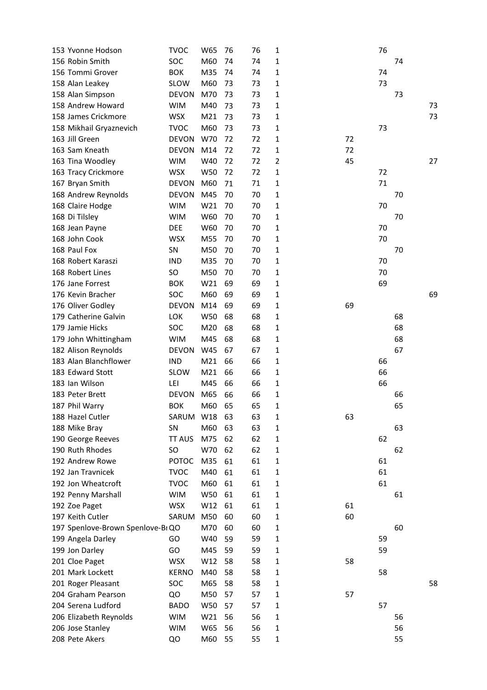| 153 Yvonne Hodson                 | <b>TVOC</b>   | W65             | 76 | 76 | $\mathbf{1}$   |    | 76 |    |    |
|-----------------------------------|---------------|-----------------|----|----|----------------|----|----|----|----|
| 156 Robin Smith                   | SOC           | M60             | 74 | 74 | 1              |    |    | 74 |    |
| 156 Tommi Grover                  | <b>BOK</b>    | M35             | 74 | 74 | 1              |    | 74 |    |    |
| 158 Alan Leakey                   | <b>SLOW</b>   | M60             | 73 | 73 | 1              |    | 73 |    |    |
| 158 Alan Simpson                  | <b>DEVON</b>  | M70             | 73 | 73 | 1              |    |    | 73 |    |
| 158 Andrew Howard                 | <b>WIM</b>    | M40             | 73 | 73 | 1              |    |    |    | 73 |
| 158 James Crickmore               | <b>WSX</b>    | M <sub>21</sub> | 73 | 73 | 1              |    |    |    | 73 |
| 158 Mikhail Gryaznevich           | <b>TVOC</b>   | M60             | 73 | 73 | 1              |    | 73 |    |    |
| 163 Jill Green                    | <b>DEVON</b>  | W70             | 72 | 72 | 1              | 72 |    |    |    |
| 163 Sam Kneath                    | <b>DEVON</b>  | M14             | 72 | 72 | 1              | 72 |    |    |    |
| 163 Tina Woodley                  | <b>WIM</b>    | W40             | 72 | 72 | $\overline{2}$ | 45 |    |    | 27 |
| 163 Tracy Crickmore               | <b>WSX</b>    | W50             | 72 | 72 | 1              |    | 72 |    |    |
| 167 Bryan Smith                   | <b>DEVON</b>  | M60             | 71 | 71 | 1              |    | 71 |    |    |
| 168 Andrew Reynolds               | <b>DEVON</b>  | M45             | 70 | 70 | 1              |    |    | 70 |    |
| 168 Claire Hodge                  | <b>WIM</b>    | W21             | 70 | 70 | 1              |    | 70 |    |    |
| 168 Di Tilsley                    | <b>WIM</b>    | W60             | 70 | 70 | 1              |    |    | 70 |    |
| 168 Jean Payne                    | <b>DEE</b>    | W60             | 70 | 70 | 1              |    | 70 |    |    |
| 168 John Cook                     | <b>WSX</b>    | M55             | 70 | 70 | 1              |    | 70 |    |    |
| 168 Paul Fox                      | SN            | M50             | 70 | 70 | 1              |    |    | 70 |    |
| 168 Robert Karaszi                | <b>IND</b>    | M35             | 70 | 70 | 1              |    | 70 |    |    |
| 168 Robert Lines                  | SO            | M50             | 70 | 70 | 1              |    | 70 |    |    |
| 176 Jane Forrest                  | <b>BOK</b>    | W21             | 69 | 69 |                |    | 69 |    |    |
|                                   |               |                 |    |    | 1              |    |    |    |    |
| 176 Kevin Bracher                 | SOC           | M60             | 69 | 69 | 1              |    |    |    | 69 |
| 176 Oliver Godley                 | <b>DEVON</b>  | M14             | 69 | 69 | 1              | 69 |    |    |    |
| 179 Catherine Galvin              | LOK           | W50             | 68 | 68 | 1              |    |    | 68 |    |
| 179 Jamie Hicks                   | SOC           | M20             | 68 | 68 | 1              |    |    | 68 |    |
| 179 John Whittingham              | <b>WIM</b>    | M45             | 68 | 68 | 1              |    |    | 68 |    |
| 182 Alison Reynolds               | <b>DEVON</b>  | W45             | 67 | 67 | 1              |    |    | 67 |    |
| 183 Alan Blanchflower             | <b>IND</b>    | M <sub>21</sub> | 66 | 66 | 1              |    | 66 |    |    |
| 183 Edward Stott                  | SLOW          | M <sub>21</sub> | 66 | 66 | 1              |    | 66 |    |    |
| 183 Ian Wilson                    | LEI           | M45             | 66 | 66 | 1              |    | 66 |    |    |
| 183 Peter Brett                   | <b>DEVON</b>  | M65             | 66 | 66 | 1              |    |    | 66 |    |
| 187 Phil Warry                    | <b>BOK</b>    | M60             | 65 | 65 | 1              |    |    | 65 |    |
| 188 Hazel Cutler                  | SARUM W18     |                 | 63 | 63 | 1              | 63 |    |    |    |
| 188 Mike Bray                     | SN            | M60             | 63 | 63 | $\mathbf{1}$   |    |    | 63 |    |
| 190 George Reeves                 | <b>TT AUS</b> | M75             | 62 | 62 | 1              |    | 62 |    |    |
| 190 Ruth Rhodes                   | SO.           | W70             | 62 | 62 | $\mathbf{1}$   |    |    | 62 |    |
| 192 Andrew Rowe                   | <b>POTOC</b>  | M35             | 61 | 61 | 1              |    | 61 |    |    |
| 192 Jan Travnicek                 | <b>TVOC</b>   | M40             | 61 | 61 | $\mathbf{1}$   |    | 61 |    |    |
| 192 Jon Wheatcroft                | <b>TVOC</b>   | M60             | 61 | 61 | 1              |    | 61 |    |    |
| 192 Penny Marshall                | <b>WIM</b>    | W50             | 61 | 61 | $\mathbf{1}$   |    |    | 61 |    |
| 192 Zoe Paget                     | <b>WSX</b>    | W12             | 61 | 61 | 1              | 61 |    |    |    |
| 197 Keith Cutler                  | SARUM         | M50             | 60 | 60 | $\mathbf{1}$   | 60 |    |    |    |
| 197 Spenlove-Brown Spenlove-BI QO |               | M70             | 60 | 60 | $\mathbf{1}$   |    |    | 60 |    |
| 199 Angela Darley                 | GO            | W40             | 59 | 59 | $\mathbf{1}$   |    | 59 |    |    |
| 199 Jon Darley                    | GO            | M45             | 59 | 59 | 1              |    | 59 |    |    |
| 201 Cloe Paget                    | <b>WSX</b>    | W12             | 58 | 58 | $\mathbf{1}$   | 58 |    |    |    |
| 201 Mark Lockett                  | <b>KERNO</b>  | M40             | 58 | 58 | 1              |    | 58 |    |    |
| 201 Roger Pleasant                | SOC           | M65             | 58 | 58 | $\mathbf{1}$   |    |    |    | 58 |
| 204 Graham Pearson                | QO            | M50             | 57 | 57 | $\mathbf{1}$   | 57 |    |    |    |
| 204 Serena Ludford                | <b>BADO</b>   | <b>W50</b>      | 57 | 57 | $\mathbf{1}$   |    | 57 |    |    |
| 206 Elizabeth Reynolds            | <b>WIM</b>    | W21             | 56 | 56 | $\mathbf{1}$   |    |    | 56 |    |
| 206 Jose Stanley                  | <b>WIM</b>    | W65             | 56 | 56 | $\mathbf{1}$   |    |    | 56 |    |
| 208 Pete Akers                    | QO            | M60             | 55 | 55 | $\mathbf{1}$   |    |    | 55 |    |
|                                   |               |                 |    |    |                |    |    |    |    |